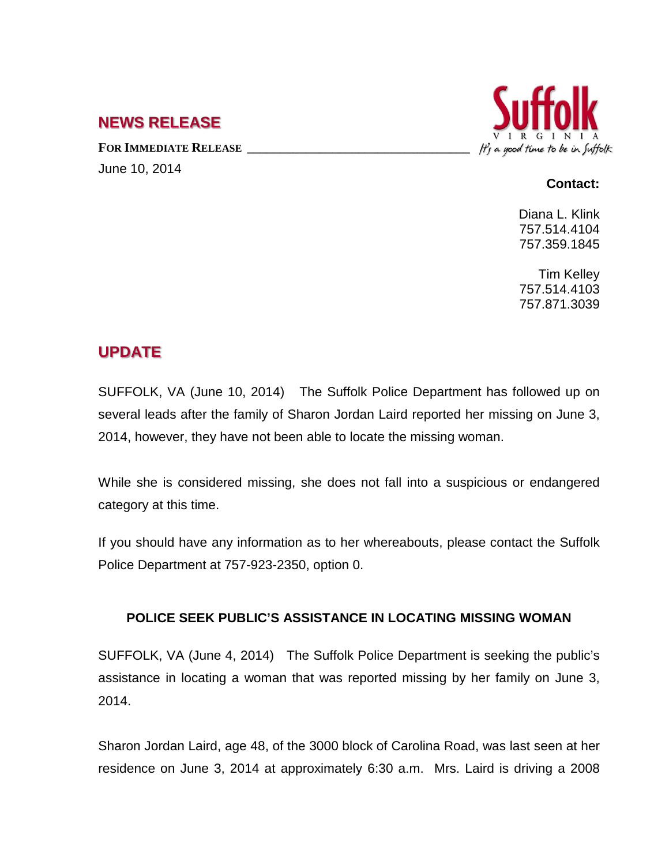## **NEWS RELEASE**

FOR **IMMEDIATE RELEASE** June 10, 2014



## **Contact:**

Diana L. Klink 757.514.4104 757.359.1845

Tim Kelley 757.514.4103 757.871.3039

## **UPDATE**

SUFFOLK, VA (June 10, 2014) The Suffolk Police Department has followed up on several leads after the family of Sharon Jordan Laird reported her missing on June 3, 2014, however, they have not been able to locate the missing woman.

While she is considered missing, she does not fall into a suspicious or endangered category at this time.

If you should have any information as to her whereabouts, please contact the Suffolk Police Department at 757-923-2350, option 0.

## **POLICE SEEK PUBLIC'S ASSISTANCE IN LOCATING MISSING WOMAN**

SUFFOLK, VA (June 4, 2014) The Suffolk Police Department is seeking the public's assistance in locating a woman that was reported missing by her family on June 3, 2014.

Sharon Jordan Laird, age 48, of the 3000 block of Carolina Road, was last seen at her residence on June 3, 2014 at approximately 6:30 a.m. Mrs. Laird is driving a 2008